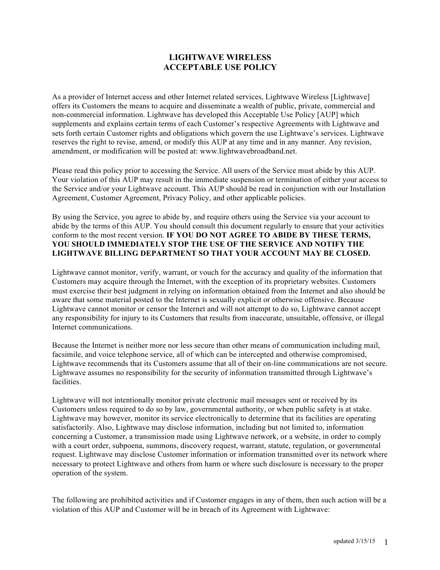## **LIGHTWAVE WIRELESS ACCEPTABLE USE POLICY**

As a provider of Internet access and other Internet related services, Lightwave Wireless [Lightwave] offers its Customers the means to acquire and disseminate a wealth of public, private, commercial and non-commercial information. Lightwave has developed this Acceptable Use Policy [AUP] which supplements and explains certain terms of each Customer's respective Agreements with Lightwave and sets forth certain Customer rights and obligations which govern the use Lightwave's services. Lightwave reserves the right to revise, amend, or modify this AUP at any time and in any manner. Any revision, amendment, or modification will be posted at: www.lightwavebroadband.net.

Please read this policy prior to accessing the Service. All users of the Service must abide by this AUP. Your violation of this AUP may result in the immediate suspension or termination of either your access to the Service and/or your Lightwave account. This AUP should be read in conjunction with our Installation Agreement, Customer Agreement, Privacy Policy, and other applicable policies.

By using the Service, you agree to abide by, and require others using the Service via your account to abide by the terms of this AUP. You should consult this document regularly to ensure that your activities conform to the most recent version. **IF YOU DO NOT AGREE TO ABIDE BY THESE TERMS, YOU SHOULD IMMEDIATELY STOP THE USE OF THE SERVICE AND NOTIFY THE LIGHTWAVE BILLING DEPARTMENT SO THAT YOUR ACCOUNT MAY BE CLOSED.**

Lightwave cannot monitor, verify, warrant, or vouch for the accuracy and quality of the information that Customers may acquire through the Internet, with the exception of its proprietary websites. Customers must exercise their best judgment in relying on information obtained from the Internet and also should be aware that some material posted to the Internet is sexually explicit or otherwise offensive. Because Lightwave cannot monitor or censor the Internet and will not attempt to do so, Lightwave cannot accept any responsibility for injury to its Customers that results from inaccurate, unsuitable, offensive, or illegal Internet communications.

Because the Internet is neither more nor less secure than other means of communication including mail, facsimile, and voice telephone service, all of which can be intercepted and otherwise compromised, Lightwave recommends that its Customers assume that all of their on-line communications are not secure. Lightwave assumes no responsibility for the security of information transmitted through Lightwave's facilities.

Lightwave will not intentionally monitor private electronic mail messages sent or received by its Customers unless required to do so by law, governmental authority, or when public safety is at stake. Lightwave may however, monitor its service electronically to determine that its facilities are operating satisfactorily. Also, Lightwave may disclose information, including but not limited to, information concerning a Customer, a transmission made using Lightwave network, or a website, in order to comply with a court order, subpoena, summons, discovery request, warrant, statute, regulation, or governmental request. Lightwave may disclose Customer information or information transmitted over its network where necessary to protect Lightwave and others from harm or where such disclosure is necessary to the proper operation of the system.

The following are prohibited activities and if Customer engages in any of them, then such action will be a violation of this AUP and Customer will be in breach of its Agreement with Lightwave: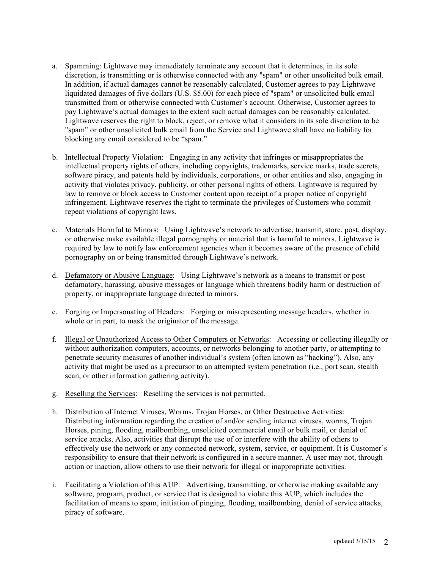- a. Spamming: Lightwave may immediately terminate any account that it determines, in its sole discretion, is transmitting or is otherwise connected with any "spam" or other unsolicited bulk email. In addition, if actual damages cannot be reasonably calculated, Customer agrees to pay Lightwave liquidated damages of five dollars (U.S. \$5.00) for each piece of "spam" or unsolicited bulk email transmitted from or otherwise connected with Customer's account. Otherwise, Customer agrees to pay Lightwave's actual damages to the extent such actual damages can be reasonably calculated. Lightwave reserves the right to block, reject, or remove what it considers in its sole discretion to be "spam" or other unsolicited bulk email from the Service and Lightwave shall have no liability for blocking any email considered to be "spam."
- b. Intellectual Property Violation: Engaging in any activity that infringes or misappropriates the intellectual property rights of others, including copyrights, trademarks, service marks, trade secrets, software piracy, and patents held by individuals, corporations, or other entities and also, engaging in activity that violates privacy, publicity, or other personal rights of others. Lightwave is required by law to remove or block access to Customer content upon receipt of a proper notice of copyright infringement. Lightwave reserves the right to terminate the privileges of Customers who commit repeat violations of copyright laws.
- c. Materials Harmful to Minors: Using Lightwave's network to advertise, transmit, store, post, display, or otherwise make available illegal pornography or material that is harmful to minors. Lightwave is required by law to notify law enforcement agencies when it becomes aware of the presence of child pornography on or being transmitted through Lightwave's network.
- d. Defamatory or Abusive Language: Using Lightwave's network as a means to transmit or post defamatory, harassing, abusive messages or language which threatens bodily harm or destruction of property, or inappropriate language directed to minors.
- e. Forging or Impersonating of Headers: Forging or misrepresenting message headers, whether in whole or in part, to mask the originator of the message.
- f. Illegal or Unauthorized Access to Other Computers or Networks: Accessing or collecting illegally or without authorization computers, accounts, or networks belonging to another party, or attempting to penetrate security measures of another individual's system (often known as "hacking"). Also, any activity that might be used as a precursor to an attempted system penetration (i.e., port scan, stealth scan, or other information gathering activity).
- g. Reselling the Services: Reselling the services is not permitted.
- h. Distribution of Internet Viruses, Worms, Trojan Horses, or Other Destructive Activities: Distributing information regarding the creation of and/or sending internet viruses, worms, Trojan Horses, pining, flooding, mailbombing, unsolicited commercial email or bulk mail, or denial of service attacks. Also, activities that disrupt the use of or interfere with the ability of others to effectively use the network or any connected network, system, service, or equipment. It is Customer's responsibility to ensure that their network is configured in a secure manner. A user may not, through action or inaction, allow others to use their network for illegal or inappropriate activities.
- i. Facilitating a Violation of this AUP: Advertising, transmitting, or otherwise making available any software, program, product, or service that is designed to violate this AUP, which includes the facilitation of means to spam, initiation of pinging, flooding, mailbombing, denial of service attacks, piracy of software.